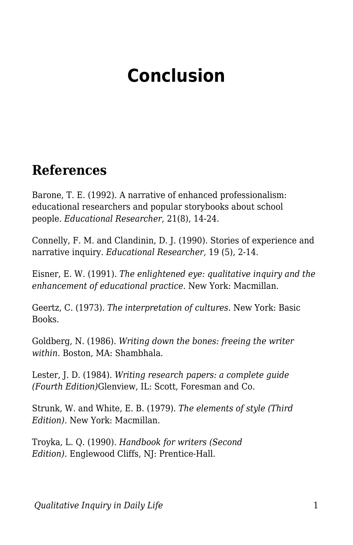## **Conclusion**

## **References**

Barone, T. E. (1992). A narrative of enhanced professionalism: educational researchers and popular storybooks about school people. *Educational Researcher*, 21(8), 14-24.

Connelly, F. M. and Clandinin, D. J. (1990). Stories of experience and narrative inquiry. *Educational Researcher,* 19 (5), 2-14.

Eisner, E. W. (1991). *The enlightened eye: qualitative inquiry and the enhancement of educational practice*. New York: Macmillan.

Geertz, C. (1973). *The interpretation of cultures.* New York: Basic Books.

Goldberg, N. (1986). *Writing down the bones: freeing the writer within.* Boston, MA: Shambhala.

Lester, J. D. (1984). *Writing research papers: a complete guide (Fourth Edition)*Glenview, IL: Scott, Foresman and Co.

Strunk, W. and White, E. B. (1979). *The elements of style (Third Edition)*. New York: Macmillan.

Troyka, L. Q. (1990). *Handbook for writers (Second Edition).* Englewood Cliffs, NJ: Prentice-Hall.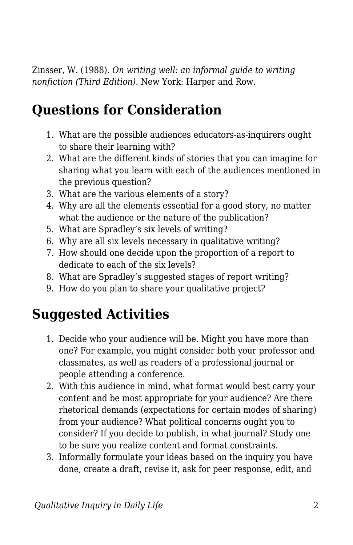Zinsser, W. (1988). *On writing well: an informal guide to writing nonfiction (Third Edition).* New York: Harper and Row.

## **Questions for Consideration**

- 1. What are the possible audiences educators-as-inquirers ought to share their learning with?
- 2. What are the different kinds of stories that you can imagine for sharing what you learn with each of the audiences mentioned in the previous question?
- 3. What are the various elements of a story?
- 4. Why are all the elements essential for a good story, no matter what the audience or the nature of the publication?
- 5. What are Spradley's six levels of writing?
- 6. Why are all six levels necessary in qualitative writing?
- 7. How should one decide upon the proportion of a report to dedicate to each of the six levels?
- 8. What are Spradley's suggested stages of report writing?
- 9. How do you plan to share your qualitative project?

## **Suggested Activities**

- 1. Decide who your audience will be. Might you have more than one? For example, you might consider both your professor and classmates, as well as readers of a professional journal or people attending a conference.
- 2. With this audience in mind, what format would best carry your content and be most appropriate for your audience? Are there rhetorical demands (expectations for certain modes of sharing) from your audience? What political concerns ought you to consider? If you decide to publish, in what journal? Study one to be sure you realize content and format constraints.
- 3. Informally formulate your ideas based on the inquiry you have done, create a draft, revise it, ask for peer response, edit, and